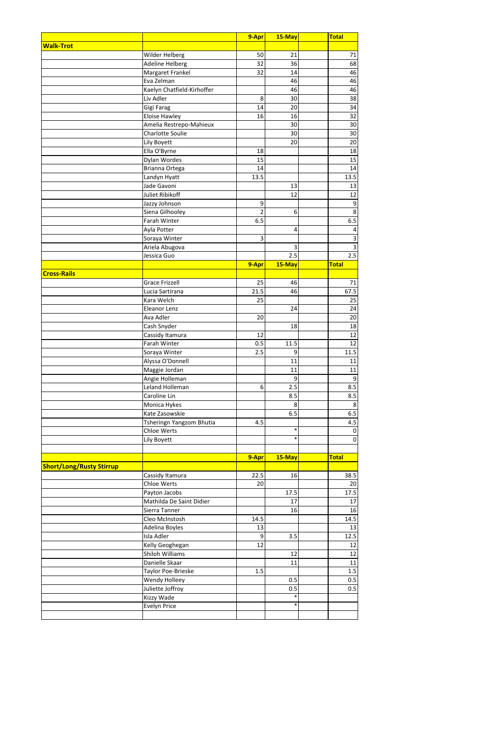|                                 |                            | 9-Apr            | 15-May | Total                   |
|---------------------------------|----------------------------|------------------|--------|-------------------------|
| <b>Walk-Trot</b>                |                            |                  |        |                         |
|                                 | Wilder Helberg             | 50               | 21     | 71                      |
|                                 | Adeline Helberg            | 32               | 36     | 68                      |
|                                 | Margaret Frankel           | 32               | 14     | 46                      |
|                                 | Eva Zelman                 |                  | 46     | 46                      |
|                                 | Kaelyn Chatfield-Kirhoffer |                  | 46     | 46                      |
|                                 | Liv Adler                  | 8                | 30     | 38                      |
|                                 | Gigi Farag                 | 14               | 20     | 34                      |
|                                 | <b>Eloise Hawley</b>       | 16               | 16     | 32                      |
|                                 | Amelia Restrepo-Mahieux    |                  | 30     | 30                      |
|                                 | <b>Charlotte Soulie</b>    |                  | 30     | 30                      |
|                                 | Lily Boyett                |                  | 20     | 20                      |
|                                 | Ella O'Byrne               | 18               |        | 18                      |
|                                 | Dylan Wordes               | 15               |        | 15                      |
|                                 | Brianna Ortega             | 14               |        | 14                      |
|                                 | Landyn Hyatt               | 13.5             |        | 13.5                    |
|                                 | Jade Gavoni                |                  | 13     | 13                      |
|                                 | <b>Juliet Ribikoff</b>     |                  | 12     | 12                      |
|                                 | Jazzy Johnson              | 9                |        | $\boldsymbol{9}$        |
|                                 | Siena Gilhooley            | $\overline{2}$   | 6      | 8                       |
|                                 | Farah Winter               | 6.5              |        | 6.5                     |
|                                 | Ayla Potter                |                  | 4      | 4                       |
|                                 | Soraya Winter              | 3                |        | 3                       |
|                                 | Ariela Abugova             |                  | 3      | $\overline{\mathbf{3}}$ |
|                                 | Jessica Guo                |                  | 2.5    | 2.5                     |
|                                 |                            | 9-Apr            | 15-May | <b>Total</b>            |
| <b>Cross-Rails</b>              |                            |                  |        |                         |
|                                 | <b>Grace Frizzell</b>      | 25               | 46     | 71                      |
|                                 | Lucia Sartirana            | 21.5             | 46     | 67.5                    |
|                                 | Kara Welch                 | 25               |        | 25                      |
|                                 | Eleanor Lenz               |                  | 24     | 24                      |
|                                 | Ava Adler                  | 20               |        | 20                      |
|                                 | Cash Snyder                |                  | 18     | 18                      |
|                                 | Cassidy Itamura            | 12               |        | 12                      |
|                                 | Farah Winter               | 0.5              | 11.5   | 12                      |
|                                 | Soraya Winter              | 2.5              | 9      | 11.5                    |
|                                 | Alyssa O'Donnell           |                  | 11     | 11                      |
|                                 | Maggie Jordan              |                  | 11     | 11                      |
|                                 | Angie Holleman             |                  | 9      | $\boldsymbol{9}$        |
|                                 | Leland Holleman            | $6 \overline{6}$ | 2.5    | 8.5                     |
|                                 | Caroline Lin               |                  | 8.5    | 8.5                     |
|                                 | Monica Hykes               |                  | 8      | 8                       |
|                                 | Kate Zasowskie             |                  | 6.5    | 6.5                     |
|                                 | Tsheringn Yangzom Bhutia   | 4.5              |        | 4.5                     |
|                                 | <b>Chloe Werts</b>         |                  | $\ast$ | $\mathbf 0$             |
|                                 | Lily Boyett                |                  | $\ast$ | $\mathbf 0$             |
|                                 |                            |                  |        |                         |
|                                 |                            | 9-Apr            | 15-May | <b>Total</b>            |
| <b>Short/Long/Rusty Stirrup</b> |                            |                  |        |                         |
|                                 | Cassidy Itamura            | 22.5             | 16     | 38.5                    |
|                                 | <b>Chloe Werts</b>         | 20               |        | 20                      |
|                                 | Payton Jacobs              |                  | 17.5   | 17.5                    |
|                                 | Mathilda De Saint Didier   |                  | 17     | 17                      |
|                                 | Sierra Tanner              |                  | 16     | 16                      |
|                                 | Cleo McInstosh             | 14.5             |        | 14.5                    |
|                                 | Adelina Boyles             | 13               |        | 13                      |
|                                 | Isla Adler                 | 9                | 3.5    | 12.5                    |
|                                 | Kelly Geoghegan            | 12               |        | 12                      |
|                                 | <b>Shiloh Williams</b>     |                  | 12     | 12                      |
|                                 | Danielle Skaar             |                  | 11     | 11                      |
|                                 | Taylor Poe-Brieske         | 1.5              |        | 1.5                     |
|                                 | Wendy Holleey              |                  | 0.5    | 0.5                     |
|                                 | Juliette Joffroy           |                  | 0.5    | 0.5                     |
|                                 | Kizzy Wade                 |                  | $\ast$ |                         |
|                                 | Evelyn Price               |                  | $\ast$ |                         |
|                                 |                            |                  |        |                         |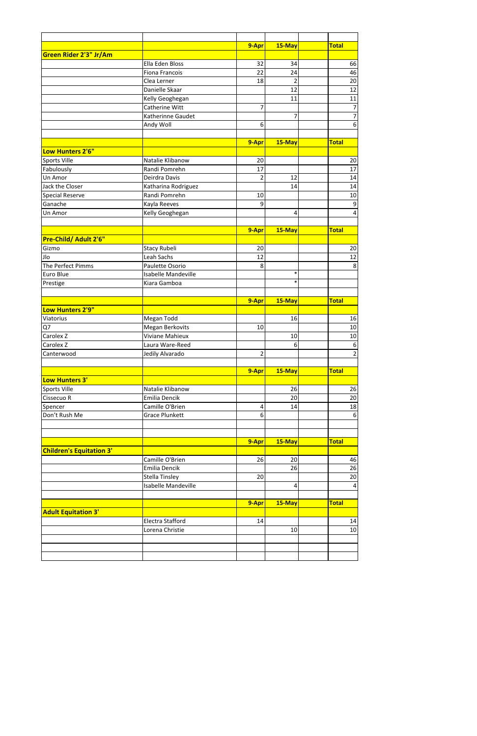|                                 |                            | 9-Apr          | 15-May           | <b>Total</b>             |
|---------------------------------|----------------------------|----------------|------------------|--------------------------|
| Green Rider 2'3" Jr/Am          |                            |                |                  |                          |
|                                 | Ella Eden Bloss            | 32             | 34               | 66                       |
|                                 | Fiona Francois             | 22             | 24               | 46                       |
|                                 | Clea Lerner                | 18             | $\overline{2}$   | 20                       |
|                                 | Danielle Skaar             |                | 12               | 12                       |
|                                 | Kelly Geoghegan            |                | 11               | 11                       |
|                                 | Catherine Witt             | $\overline{7}$ |                  | $\overline{\mathcal{I}}$ |
|                                 | Katherinne Gaudet          |                | 7                | $\overline{7}$           |
|                                 | Andy Woll                  | 6              |                  | 6                        |
|                                 |                            |                |                  |                          |
|                                 |                            | 9-Apr          | 15-May           | <b>Total</b>             |
| Low Hunters 2'6"                |                            |                |                  |                          |
| Sports Ville                    | Natalie Klibanow           | 20             |                  | 20                       |
| Fabulously                      | Randi Pomrehn              | 17             |                  | 17                       |
| Un Amor                         | Deirdra Davis              | $\overline{2}$ | 12               | 14                       |
| Jack the Closer                 | Katharina Rodriguez        |                | 14               | 14                       |
| <b>Special Reserve</b>          | Randi Pomrehn              | 10             |                  | 10                       |
| Ganache                         | Kayla Reeves               | 9              |                  | $\boldsymbol{9}$         |
| Un Amor                         | Kelly Geoghegan            |                | 4                | $\overline{4}$           |
|                                 |                            |                |                  |                          |
|                                 |                            | 9-Apr          | 15-May           | <b>Total</b>             |
| Pre-Child/ Adult 2'6"           |                            |                |                  |                          |
| Gizmo                           | Stacy Rubeli               | 20             |                  | 20                       |
| Jlo                             | Leah Sachs                 | 12             |                  | 12                       |
| The Perfect Pimms               | Paulette Osorio            | 8              |                  | 8                        |
| Euro Blue                       | <b>Isabelle Mandeville</b> |                | $\ast$           |                          |
| Prestige                        | Kiara Gamboa               |                | $\ast$           |                          |
|                                 |                            |                |                  | <b>Total</b>             |
| Low Hunters 2'9"                |                            | 9-Apr          | $15$ -May        |                          |
| Viatorius                       | Megan Todd                 |                | 16               | 16                       |
| Q7                              | Megan Berkovits            | 10             |                  | 10                       |
| Carolex <sub>Z</sub>            | <b>Viviane Mahieux</b>     |                | 10               | 10                       |
| Carolex Z                       | Laura Ware-Reed            |                | $6 \overline{6}$ | 6                        |
| Canterwood                      | Jedily Alvarado            | $\overline{2}$ |                  | $\mathbf{2}$             |
|                                 |                            |                |                  |                          |
|                                 |                            | 9-Apr          | 15-May           | <b>Total</b>             |
| Low Hunters 3'                  |                            |                |                  |                          |
| Sports Ville                    | Natalie Klibanow           |                | 26               | 26                       |
| Cissecuo R                      | Emilia Dencik              |                | 20               | 20                       |
| Spencer                         | Camille O'Brien            | 4              | 14               | 18                       |
| Don't Rush Me                   | <b>Grace Plunkett</b>      | 6              |                  | 6                        |
|                                 |                            |                |                  |                          |
|                                 |                            |                |                  |                          |
|                                 |                            | 9-Apr          | 15-May           | <b>Total</b>             |
| <b>Children's Equitation 3'</b> |                            |                |                  |                          |
|                                 | Camille O'Brien            | 26             | 20               | 46                       |
|                                 | Emilia Dencik              |                | 26               | 26                       |
|                                 | <b>Stella Tinsley</b>      | 20             |                  | 20                       |
|                                 | Isabelle Mandeville        |                | $\overline{a}$   | $\overline{4}$           |
|                                 |                            |                |                  |                          |
|                                 |                            | 9-Apr          | 15-May           | <b>Total</b>             |
| <b>Adult Equitation 3'</b>      |                            |                |                  |                          |
|                                 | Electra Stafford           | 14             |                  | 14                       |
|                                 | Lorena Christie            |                | 10               | 10                       |
|                                 |                            |                |                  |                          |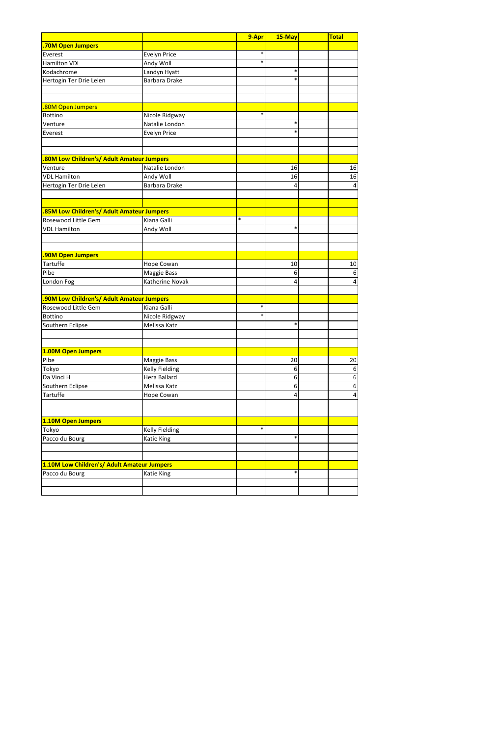|                                                   |                      | 9-Apr  | 15-May | <b>Total</b>            |
|---------------------------------------------------|----------------------|--------|--------|-------------------------|
| <b>.70M Open Jumpers</b>                          |                      |        |        |                         |
| Everest                                           | Evelyn Price         | $\ast$ |        |                         |
| <b>Hamilton VDL</b>                               | Andy Woll            | $\ast$ |        |                         |
| Kodachrome                                        | Landyn Hyatt         |        | $\ast$ |                         |
| Hertogin Ter Drie Leien                           | <b>Barbara Drake</b> |        | $\ast$ |                         |
|                                                   |                      |        |        |                         |
|                                                   |                      |        |        |                         |
| .80M Open Jumpers                                 |                      |        |        |                         |
| <b>Bottino</b>                                    | Nicole Ridgway       | $\ast$ |        |                         |
| Venture                                           | Natalie London       |        | $\ast$ |                         |
| Everest                                           | Evelyn Price         |        | $\ast$ |                         |
|                                                   |                      |        |        |                         |
|                                                   |                      |        |        |                         |
| <b>80M Low Children's/ Adult Amateur Jumpers.</b> |                      |        |        |                         |
| Venture                                           | Natalie London       |        | 16     | 16                      |
| <b>VDL Hamilton</b>                               | Andy Woll            |        | 16     | 16                      |
| Hertogin Ter Drie Leien                           | <b>Barbara Drake</b> |        | 4      | $\pmb{4}$               |
|                                                   |                      |        |        |                         |
|                                                   |                      |        |        |                         |
| 85M Low Children's/ Adult Amateur Jumpers         |                      |        |        |                         |
| Rosewood Little Gem                               | Kiana Galli          | $\ast$ |        |                         |
| <b>VDL Hamilton</b>                               | Andy Woll            |        | $\ast$ |                         |
|                                                   |                      |        |        |                         |
|                                                   |                      |        |        |                         |
| <b>90M Open Jumpers</b>                           |                      |        |        |                         |
| <b>Tartuffe</b>                                   | Hope Cowan           |        | 10     | $10\,$                  |
| Pibe                                              | Maggie Bass          |        | 6      | 6                       |
| London Fog                                        | Katherine Novak      |        | 4      | $\overline{\mathbf{4}}$ |
|                                                   |                      |        |        |                         |
| .90M Low Children's/ Adult Amateur Jumpers        |                      |        |        |                         |
| Rosewood Little Gem                               | Kiana Galli          | $\ast$ |        |                         |
| <b>Bottino</b>                                    | Nicole Ridgway       | $\ast$ |        |                         |
| Southern Eclipse                                  | Melissa Katz         |        | $\ast$ |                         |
|                                                   |                      |        |        |                         |
|                                                   |                      |        |        |                         |
| 1.00M Open Jumpers                                |                      |        |        |                         |
| Pibe                                              | Maggie Bass          |        | 20     | 20                      |
| Tokyo                                             | Kelly Fielding       |        | 6      | $\boldsymbol{6}$        |
| Da Vinci H                                        | Hera Ballard         |        | 6      | 6                       |
| Southern Eclipse                                  | Melissa Katz         |        | 6      | 6                       |
| <b>Tartuffe</b>                                   | Hope Cowan           |        | 4      | $\overline{4}$          |
|                                                   |                      |        |        |                         |
|                                                   |                      |        |        |                         |
| 1.10M Open Jumpers                                |                      |        |        |                         |
| Tokyo                                             | Kelly Fielding       | $\ast$ |        |                         |
| Pacco du Bourg                                    | <b>Katie King</b>    |        | $\ast$ |                         |
|                                                   |                      |        |        |                         |
|                                                   |                      |        |        |                         |
| 1.10M Low Children's/ Adult Amateur Jumpers       |                      |        |        |                         |
| Pacco du Bourg                                    | Katie King           |        | $\ast$ |                         |
|                                                   |                      |        |        |                         |
|                                                   |                      |        |        |                         |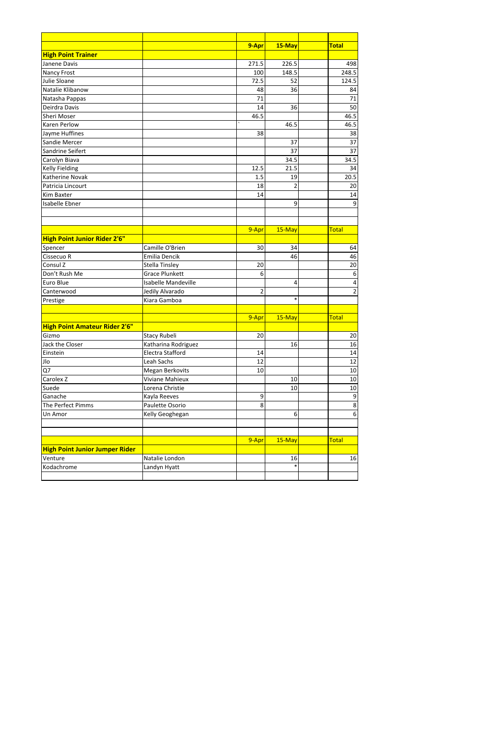|                                       |                            | 9-Apr          | 15-May         | <b>Total</b>            |
|---------------------------------------|----------------------------|----------------|----------------|-------------------------|
| <b>High Point Trainer</b>             |                            |                |                |                         |
| Janene Davis                          |                            | 271.5          | 226.5          | 498                     |
| <b>Nancy Frost</b>                    |                            | 100            | 148.5          | 248.5                   |
| Julie Sloane                          |                            | 72.5           | 52             | 124.5                   |
| Natalie Klibanow                      |                            | 48             | 36             | 84                      |
| Natasha Pappas                        |                            | 71             |                | 71                      |
| Deirdra Davis                         |                            | 14             | 36             | 50                      |
| Sheri Moser                           |                            | 46.5           |                | 46.5                    |
| <b>Karen Perlow</b>                   |                            |                | 46.5           | 46.5                    |
| Jayme Huffines                        |                            | 38             |                | 38                      |
| Sandie Mercer                         |                            |                | 37             | 37                      |
| Sandrine Seifert                      |                            |                | 37             | 37                      |
| Carolyn Biava                         |                            |                | 34.5           | 34.5                    |
| <b>Kelly Fielding</b>                 |                            | 12.5           | 21.5           | 34                      |
| <b>Katherine Novak</b>                |                            | 1.5            | 19             | 20.5                    |
| Patricia Lincourt                     |                            | 18             | $\overline{2}$ | 20                      |
| <b>Kim Baxter</b>                     |                            | 14             |                | 14                      |
| <b>Isabelle Ebner</b>                 |                            |                | 9              | $9$                     |
|                                       |                            |                |                |                         |
|                                       |                            |                |                |                         |
|                                       |                            | 9-Apr          | 15-May         | <b>Total</b>            |
| <b>High Point Junior Rider 2'6"</b>   |                            |                |                |                         |
| Spencer                               | Camille O'Brien            | 30             | 34             | 64                      |
| Cissecuo R                            | Emilia Dencik              |                | 46             | 46                      |
| Consul Z                              | <b>Stella Tinsley</b>      | 20             |                | 20                      |
| Don't Rush Me                         | <b>Grace Plunkett</b>      | 6              |                | $\boldsymbol{6}$        |
| Euro Blue                             | <b>Isabelle Mandeville</b> |                | 4              | $\overline{\mathbf{4}}$ |
| Canterwood                            | Jedily Alvarado            | $\overline{2}$ |                | $\overline{2}$          |
| Prestige                              | Kiara Gamboa               |                | $\ast$         |                         |
|                                       |                            |                |                |                         |
|                                       |                            | 9-Apr          | 15-May         | Total                   |
| <b>High Point Amateur Rider 2'6"</b>  |                            |                |                |                         |
| Gizmo                                 | Stacy Rubeli               | 20             |                | 20                      |
| Jack the Closer                       | Katharina Rodriguez        |                | 16             | 16                      |
| Einstein                              | Electra Stafford           | 14             |                | 14                      |
| Jlo                                   | Leah Sachs                 | 12             |                | 12                      |
| Q7                                    | Megan Berkovits            | 10             |                | 10                      |
| Carolex <sub>Z</sub>                  | Viviane Mahieux            |                | 10             | 10                      |
| Suede                                 | Lorena Christie            |                | 10             | $10\,$                  |
| Ganache                               | Kayla Reeves               | 9              |                | $\boldsymbol{9}$        |
| The Perfect Pimms                     | Paulette Osorio            | 8              |                | $\bf 8$                 |
| Un Amor                               | Kelly Geoghegan            |                | 6              | 6                       |
|                                       |                            |                |                |                         |
|                                       |                            |                |                |                         |
|                                       |                            | 9-Apr          | 15-May         | <b>Total</b>            |
| <b>High Point Junior Jumper Rider</b> |                            |                |                |                         |
| Venture                               | Natalie London             |                | 16             | 16                      |
| Kodachrome                            | Landyn Hyatt               |                | $\ast$         |                         |
|                                       |                            |                |                |                         |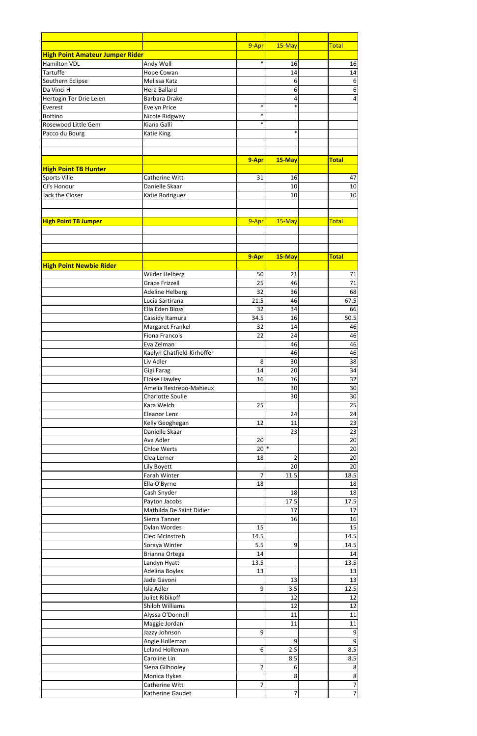|                                        |                            | 9-Apr          | 15-May         | <b>Total</b>    |
|----------------------------------------|----------------------------|----------------|----------------|-----------------|
| <b>High Point Amateur Jumper Rider</b> |                            |                |                |                 |
| <b>Hamilton VDL</b>                    | Andy Woll                  | $\ast$         | 16             | 16              |
| <b>Tartuffe</b>                        | Hope Cowan                 |                | 14             | 14              |
| Southern Eclipse                       | Melissa Katz               |                | 6              |                 |
| Da Vinci H                             | <b>Hera Ballard</b>        |                |                |                 |
|                                        |                            |                | 6              |                 |
| Hertogin Ter Drie Leien                | <b>Barbara Drake</b>       | $\ast$         | 4<br>$\ast$    |                 |
| Everest                                | <b>Evelyn Price</b>        |                |                |                 |
| <b>Bottino</b>                         | Nicole Ridgway             | $\ast$         |                |                 |
| Rosewood Little Gem                    | Kiana Galli                | $\ast$         |                |                 |
| Pacco du Bourg                         | <b>Katie King</b>          |                | $\ast$         |                 |
|                                        |                            |                |                |                 |
|                                        |                            |                |                |                 |
|                                        |                            | 9-Apr          | 15-May         | <b>Total</b>    |
| <b>High Point TB Hunter</b>            |                            |                |                |                 |
| Sports Ville                           | Catherine Witt             | 31             | 16             | 47              |
| CJ's Honour                            | Danielle Skaar             |                | 10             | 10              |
| Jack the Closer                        | Katie Rodriguez            |                | 10             | 10              |
|                                        |                            |                |                |                 |
|                                        |                            |                |                |                 |
|                                        |                            |                |                |                 |
| <b>High Point TB Jumper</b>            |                            | 9-Apr          | 15-May         | <b>Total</b>    |
|                                        |                            |                |                |                 |
|                                        |                            |                |                |                 |
|                                        |                            |                |                |                 |
|                                        |                            | 9-Apr          | 15-May         | <b>Total</b>    |
| <b>High Point Newbie Rider</b>         |                            |                |                |                 |
|                                        | Wilder Helberg             | 50             | 21             | 71              |
|                                        | <b>Grace Frizzell</b>      | 25             | 46             | 71              |
|                                        | <b>Adeline Helberg</b>     | 32             | 36             | 68              |
|                                        | Lucia Sartirana            | 21.5           | 46             | 67.5            |
|                                        | Ella Eden Bloss            | 32             | 34             | 66              |
|                                        | Cassidy Itamura            | 34.5           | 16             | 50.5            |
|                                        | Margaret Frankel           | 32             | 14             | 46              |
|                                        |                            |                |                |                 |
|                                        | <b>Fiona Francois</b>      | 22             | 24             | 46              |
|                                        | Eva Zelman                 |                | 46             | 46              |
|                                        | Kaelyn Chatfield-Kirhoffer |                | 46             | 46              |
|                                        | Liv Adler                  | 8              | 30             | 38              |
|                                        | Gigi Farag                 | 14             | 20             | 34              |
|                                        | Eloise Hawley              | 16             | 16             | 32              |
|                                        | Amelia Restrepo-Mahieux    |                | 30             | 30              |
|                                        | <b>Charlotte Soulie</b>    |                | 30             | 30              |
|                                        | Kara Welch                 | 25             |                | 25              |
|                                        | Eleanor Lenz               |                | 24             | 24              |
|                                        | Kelly Geoghegan            | 12             | 11             | $\overline{23}$ |
|                                        | Danielle Skaar             |                | 23             | 23              |
|                                        | Ava Adler                  | 20             |                | 20              |
|                                        | Chloe Werts                | $20*$          |                | 20              |
|                                        |                            |                |                |                 |
|                                        | Clea Lerner                | 18             | $\overline{2}$ | 20              |
|                                        | Lily Boyett                |                | 20             | 20              |
|                                        | Farah Winter               | $\overline{7}$ | 11.5           | 18.5            |
|                                        | Ella O'Byrne               | 18             |                | 18              |
|                                        | Cash Snyder                |                | 18             | $18\,$          |
|                                        | Payton Jacobs              |                | 17.5           | 17.5            |
|                                        | Mathilda De Saint Didier   |                | 17             | 17              |
|                                        | Sierra Tanner              |                | 16             | 16              |
|                                        | Dylan Wordes               | 15             |                | 15              |
|                                        | Cleo McInstosh             | 14.5           |                | 14.5            |
|                                        | Soraya Winter              | 5.5            | 9              | 14.5            |
|                                        | Brianna Ortega             | 14             |                | 14              |
|                                        | Landyn Hyatt               | 13.5           |                | 13.5            |
|                                        | Adelina Boyles             | 13             |                | 13              |
|                                        | Jade Gavoni                |                | 13             | 13              |
|                                        | Isla Adler                 | 9              | 3.5            | 12.5            |
|                                        | Juliet Ribikoff            |                | 12             |                 |
|                                        |                            |                |                | 12              |
|                                        | Shiloh Williams            |                | 12             | 12              |
|                                        | Alyssa O'Donnell           |                | 11             | 11              |
|                                        | Maggie Jordan              |                | 11             | 11              |
|                                        | Jazzy Johnson              | 9              |                |                 |
|                                        | Angie Holleman             |                | 9              |                 |
|                                        | Leland Holleman            | 6 <sup>1</sup> | 2.5            | 8.5             |
|                                        | Caroline Lin               |                | 8.5            | 8.5             |
|                                        | Siena Gilhooley            | $\overline{2}$ | 6              |                 |
|                                        | Monica Hykes               |                | 8              |                 |
|                                        | Catherine Witt             | 7              |                |                 |
|                                        | Katherine Gaudet           |                | 7              |                 |
|                                        |                            |                |                |                 |